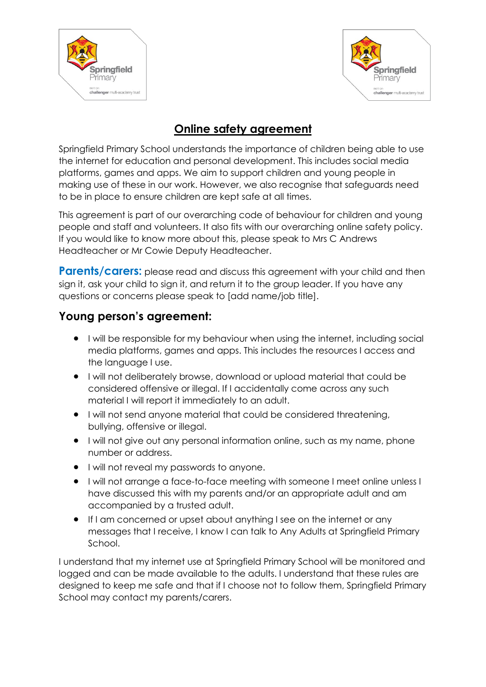



## **Online safety agreement**

Springfield Primary School understands the importance of children being able to use the internet for education and personal development. This includes social media platforms, games and apps. We aim to support children and young people in making use of these in our work. However, we also recognise that safeguards need to be in place to ensure children are kept safe at all times.

This agreement is part of our overarching code of behaviour for children and young people and staff and volunteers. It also fits with our overarching online safety policy. If you would like to know more about this, please speak to Mrs C Andrews Headteacher or Mr Cowie Deputy Headteacher.

**Parents/carers:** please read and discuss this agreement with your child and then sign it, ask your child to sign it, and return it to the group leader. If you have any questions or concerns please speak to [add name/job title].

## **Young person's agreement:**

- **I** will be responsible for my behaviour when using the internet, including social media platforms, games and apps. This includes the resources I access and the language I use.
- I will not deliberately browse, download or upload material that could be considered offensive or illegal. If I accidentally come across any such material I will report it immediately to an adult.
- $\bullet$  I will not send anyone material that could be considered threatening, bullying, offensive or illegal.
- I will not give out any personal information online, such as my name, phone number or address.
- I will not reveal my passwords to anyone.
- I will not arrange a face-to-face meeting with someone I meet online unless I have discussed this with my parents and/or an appropriate adult and am accompanied by a trusted adult.
- If I am concerned or upset about anything I see on the internet or any messages that I receive, I know I can talk to Any Adults at Springfield Primary School.

I understand that my internet use at Springfield Primary School will be monitored and logged and can be made available to the adults. I understand that these rules are designed to keep me safe and that if I choose not to follow them, Springfield Primary School may contact my parents/carers.